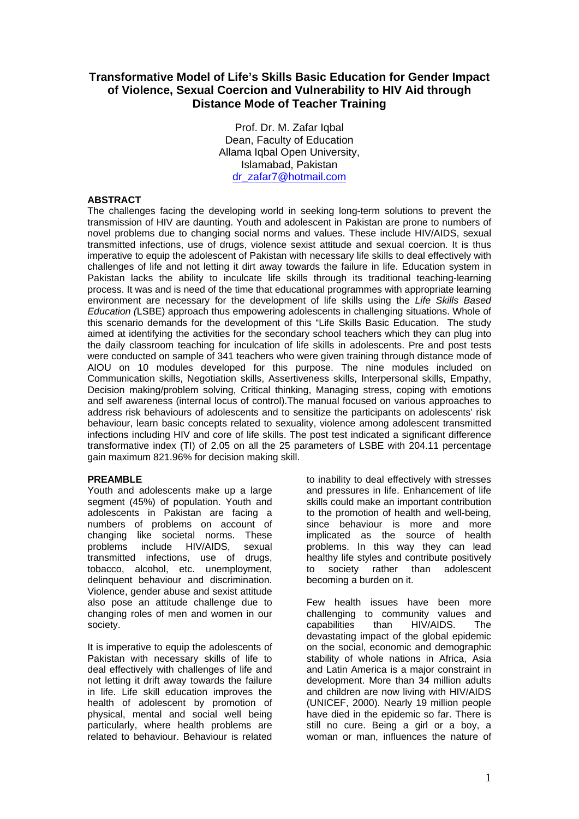# **Transformative Model of Life's Skills Basic Education for Gender Impact of Violence, Sexual Coercion and Vulnerability to HIV Aid through Distance Mode of Teacher Training**

Prof. Dr. M. Zafar Iqbal Dean, Faculty of Education Allama Iqbal Open University, Islamabad, Pakistan dr\_zafar7@hotmail.com

#### **ABSTRACT**

The challenges facing the developing world in seeking long-term solutions to prevent the transmission of HIV are daunting. Youth and adolescent in Pakistan are prone to numbers of novel problems due to changing social norms and values. These include HIV/AIDS, sexual transmitted infections, use of drugs, violence sexist attitude and sexual coercion. It is thus imperative to equip the adolescent of Pakistan with necessary life skills to deal effectively with challenges of life and not letting it dirt away towards the failure in life. Education system in Pakistan lacks the ability to inculcate life skills through its traditional teaching-learning process. It was and is need of the time that educational programmes with appropriate learning environment are necessary for the development of life skills using the *Life Skills Based Education (*LSBE) approach thus empowering adolescents in challenging situations. Whole of this scenario demands for the development of this "Life Skills Basic Education. The study aimed at identifying the activities for the secondary school teachers which they can plug into the daily classroom teaching for inculcation of life skills in adolescents. Pre and post tests were conducted on sample of 341 teachers who were given training through distance mode of AIOU on 10 modules developed for this purpose. The nine modules included on Communication skills, Negotiation skills, Assertiveness skills, Interpersonal skills, Empathy, Decision making/problem solving, Critical thinking, Managing stress, coping with emotions and self awareness (internal locus of control).The manual focused on various approaches to address risk behaviours of adolescents and to sensitize the participants on adolescents' risk behaviour, learn basic concepts related to sexuality, violence among adolescent transmitted infections including HIV and core of life skills. The post test indicated a significant difference transformative index (TI) of 2.05 on all the 25 parameters of LSBE with 204.11 percentage gain maximum 821.96% for decision making skill.

## **PREAMBLE**

Youth and adolescents make up a large segment (45%) of population. Youth and adolescents in Pakistan are facing a numbers of problems on account of changing like societal norms. These problems include HIV/AIDS, sexual transmitted infections, use of drugs, tobacco, alcohol, etc. unemployment, delinquent behaviour and discrimination. Violence, gender abuse and sexist attitude also pose an attitude challenge due to changing roles of men and women in our society.

It is imperative to equip the adolescents of Pakistan with necessary skills of life to deal effectively with challenges of life and not letting it drift away towards the failure in life. Life skill education improves the health of adolescent by promotion of physical, mental and social well being particularly, where health problems are related to behaviour. Behaviour is related

to inability to deal effectively with stresses and pressures in life. Enhancement of life skills could make an important contribution to the promotion of health and well-being, since behaviour is more and more implicated as the source of health problems. In this way they can lead healthy life styles and contribute positively to society rather than adolescent becoming a burden on it.

Few health issues have been more challenging to community values and capabilities than HIV/AIDS. The devastating impact of the global epidemic on the social, economic and demographic stability of whole nations in Africa, Asia and Latin America is a major constraint in development. More than 34 million adults and children are now living with HIV/AIDS (UNICEF, 2000). Nearly 19 million people have died in the epidemic so far. There is still no cure. Being a girl or a boy, a woman or man, influences the nature of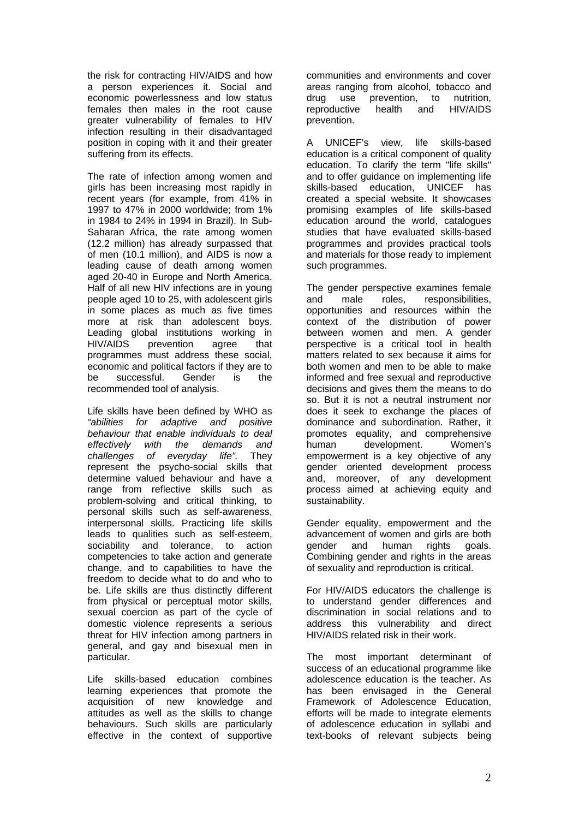the risk for contracting HIV/AIDS and how a person experiences it. Social and economic powerlessness and low status females then males in the root cause greater vulnerability of females to HIV infection resulting in their disadvantaged position in coping with it and their greater suffering from its effects.

The rate of infection among women and girls has been increasing most rapidly in recent years (for example, from 41% in 1997 to 47% in 2000 worldwide; from 1% in 1984 to 24% in 1994 in Brazil). In Sub-Saharan Africa, the rate among women (12.2 million) has already surpassed that of men (10.1 million), and AIDS is now a leading cause of death among women aged 20-40 in Europe and North America. Half of all new HIV infections are in young people aged 10 to 25, with adolescent girls in some places as much as five times more at risk than adolescent boys. Leading global institutions working in HIV/AIDS prevention agree that programmes must address these social, economic and political factors if they are to be successful. Gender is the recommended tool of analysis.

Life skills have been defined by WHO as *"abilities for adaptive and positive behaviour that enable individuals to deal effectively with the demands and challenges of everyday life".* They represent the psycho-social skills that determine valued behaviour and have a range from reflective skills such as problem-solving and critical thinking, to personal skills such as self-awareness, interpersonal skills. Practicing life skills leads to qualities such as self-esteem, sociability and tolerance, to action competencies to take action and generate change, and to capabilities to have the freedom to decide what to do and who to be. Life skills are thus distinctly different from physical or perceptual motor skills. sexual coercion as part of the cycle of domestic violence represents a serious threat for HIV infection among partners in general, and gay and bisexual men in particular.

Life skills-based education combines learning experiences that promote the acquisition of new knowledge and attitudes as well as the skills to change behaviours. Such skills are particularly effective in the context of supportive communities and environments and cover areas ranging from alcohol, tobacco and drug use prevention, to nutrition, reproductive health and HIV/AIDS prevention.

A UNICEF's view, life skills-based education is a critical component of quality education. To clarify the term "life skills" and to offer quidance on implementing life skills-based education, UNICEF has created a special website. It showcases promising examples of life skills-based education around the world, catalogues studies that have evaluated skills-based programmes and provides practical tools and materials for those ready to implement such programmes.

The gender perspective examines female<br>and male roles, responsibilities, and male roles, responsibilities, opportunities and resources within the context of the distribution of power between women and men. A gender perspective is a critical tool in health matters related to sex because it aims for both women and men to be able to make informed and free sexual and reproductive decisions and gives them the means to do so. But it is not a neutral instrument nor does it seek to exchange the places of dominance and subordination. Rather, it promotes equality, and comprehensive human development. Women's empowerment is a key objective of any gender oriented development process and, moreover, of any development process aimed at achieving equity and sustainability.

Gender equality, empowerment and the advancement of women and girls are both gender and human rights goals. Combining gender and rights in the areas of sexuality and reproduction is critical.

For HIV/AIDS educators the challenge is to understand gender differences and discrimination in social relations and to address this vulnerability and direct HIV/AIDS related risk in their work.

The most important determinant of success of an educational programme like adolescence education is the teacher. As has been envisaged in the General Framework of Adolescence Education, efforts will be made to integrate elements of adolescence education in syllabi and text-books of relevant subjects being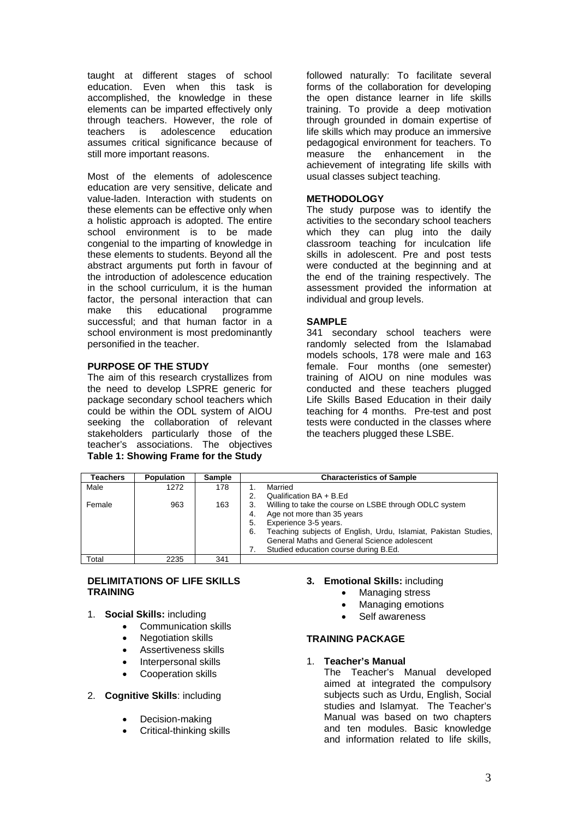taught at different stages of school education. Even when this task is accomplished, the knowledge in these elements can be imparted effectively only through teachers. However, the role of teachers is adolescence education assumes critical significance because of still more important reasons.

Most of the elements of adolescence education are very sensitive, delicate and value-laden. Interaction with students on these elements can be effective only when a holistic approach is adopted. The entire school environment is to be made congenial to the imparting of knowledge in these elements to students. Beyond all the abstract arguments put forth in favour of the introduction of adolescence education in the school curriculum, it is the human factor, the personal interaction that can make this educational programme successful; and that human factor in a school environment is most predominantly personified in the teacher.

## **PURPOSE OF THE STUDY**

The aim of this research crystallizes from the need to develop LSPRE generic for package secondary school teachers which could be within the ODL system of AIOU seeking the collaboration of relevant stakeholders particularly those of the teacher's associations. The objectives **Table 1: Showing Frame for the Study** 

followed naturally: To facilitate several forms of the collaboration for developing the open distance learner in life skills training. To provide a deep motivation through grounded in domain expertise of life skills which may produce an immersive pedagogical environment for teachers. To measure the enhancement in the achievement of integrating life skills with usual classes subject teaching.

#### **METHODOLOGY**

The study purpose was to identify the activities to the secondary school teachers which they can plug into the daily classroom teaching for inculcation life skills in adolescent. Pre and post tests were conducted at the beginning and at the end of the training respectively. The assessment provided the information at individual and group levels.

#### **SAMPLE**

341 secondary school teachers were randomly selected from the Islamabad models schools, 178 were male and 163 female. Four months (one semester) training of AIOU on nine modules was conducted and these teachers plugged Life Skills Based Education in their daily teaching for 4 months. Pre-test and post tests were conducted in the classes where the teachers plugged these LSBE.

| Teachers | <b>Population</b> | <b>Sample</b> | <b>Characteristics of Sample</b>                                      |  |  |  |  |  |  |  |
|----------|-------------------|---------------|-----------------------------------------------------------------------|--|--|--|--|--|--|--|
| Male     | 1272              | 178           | Married                                                               |  |  |  |  |  |  |  |
|          |                   |               | Qualification BA + B.Ed<br>2.                                         |  |  |  |  |  |  |  |
| Female   | 963               | 163           | Willing to take the course on LSBE through ODLC system                |  |  |  |  |  |  |  |
|          |                   |               | Age not more than 35 years<br>-4.                                     |  |  |  |  |  |  |  |
|          |                   |               | Experience 3-5 years.<br>5.                                           |  |  |  |  |  |  |  |
|          |                   |               | Teaching subjects of English, Urdu, Islamiat, Pakistan Studies,<br>6. |  |  |  |  |  |  |  |
|          |                   |               | General Maths and General Science adolescent                          |  |  |  |  |  |  |  |
|          |                   |               | Studied education course during B.Ed.                                 |  |  |  |  |  |  |  |
| Total    | 2235              | 341           |                                                                       |  |  |  |  |  |  |  |

## **DELIMITATIONS OF LIFE SKILLS TRAINING**

- 1. **Social Skills:** including
	- Communication skills
		- Negotiation skills
		- Assertiveness skills
		- Interpersonal skills
		- Cooperation skills
- 2. **Cognitive Skills**: including
	- Decision-making
	- Critical-thinking skills

# **3. Emotional Skills:** including

- Managing stress
- Managing emotions
- Self awareness

# **TRAINING PACKAGE**

1. **Teacher's Manual**

The Teacher's Manual developed aimed at integrated the compulsory subjects such as Urdu, English, Social studies and Islamyat. The Teacher's Manual was based on two chapters and ten modules. Basic knowledge and information related to life skills,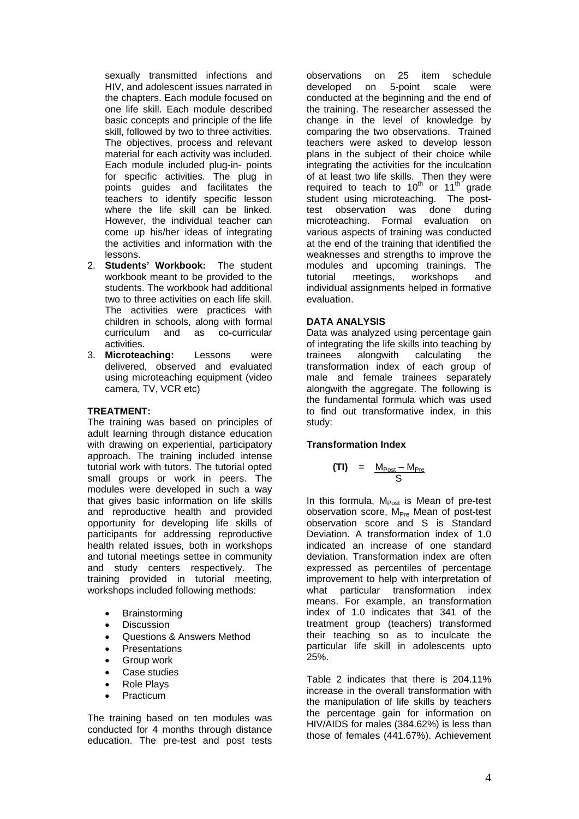sexually transmitted infections and HIV, and adolescent issues narrated in the chapters. Each module focused on one life skill. Each module described basic concepts and principle of the life skill, followed by two to three activities. The objectives, process and relevant material for each activity was included. Each module included plug-in- points for specific activities. The plug in points guides and facilitates the teachers to identify specific lesson where the life skill can be linked. However, the individual teacher can come up his/her ideas of integrating the activities and information with the lessons.

- 2. **Students' Workbook:** The student workbook meant to be provided to the students. The workbook had additional two to three activities on each life skill. The activities were practices with children in schools, along with formal curriculum and as co-curricular activities.
- 3. **Microteaching:** Lessons were delivered, observed and evaluated using microteaching equipment (video camera, TV, VCR etc)

## **TREATMENT:**

The training was based on principles of adult learning through distance education with drawing on experiential, participatory approach. The training included intense tutorial work with tutors. The tutorial opted small groups or work in peers. The modules were developed in such a way that gives basic information on life skills and reproductive health and provided opportunity for developing life skills of participants for addressing reproductive health related issues, both in workshops and tutorial meetings settee in community and study centers respectively. The training provided in tutorial meeting, workshops included following methods:

- **Brainstorming**
- **Discussion**
- Questions & Answers Method
- **Presentations**
- Group work
- Case studies
- Role Plays
- Practicum

The training based on ten modules was conducted for 4 months through distance education. The pre-test and post tests

observations on 25 item schedule developed on 5-point scale were conducted at the beginning and the end of the training. The researcher assessed the change in the level of knowledge by comparing the two observations. Trained teachers were asked to develop lesson plans in the subject of their choice while integrating the activities for the inculcation of at least two life skills. Then they were required to teach to  $10^{th}$  or  $11^{th}$  grade student using microteaching. The posttest observation was done during microteaching. Formal evaluation on various aspects of training was conducted at the end of the training that identified the weaknesses and strengths to improve the modules and upcoming trainings. The tutorial meetings, workshops and individual assignments helped in formative evaluation.

## **DATA ANALYSIS**

Data was analyzed using percentage gain of integrating the life skills into teaching by trainees alongwith calculating the transformation index of each group of male and female trainees separately alongwith the aggregate. The following is the fundamental formula which was used to find out transformative index, in this study:

## **Transformation Index**

$$
(\text{TI}) = \frac{M_{\text{Post}} - M_{\text{Pre}}}{S}
$$

In this formula,  $M_{Post}$  is Mean of pre-test observation score,  $M_{\text{Pre}}$  Mean of post-test observation score and S is Standard Deviation. A transformation index of 1.0 indicated an increase of one standard deviation. Transformation index are often expressed as percentiles of percentage improvement to help with interpretation of what particular transformation index means. For example, an transformation index of 1.0 indicates that 341 of the treatment group (teachers) transformed their teaching so as to inculcate the particular life skill in adolescents upto 25%.

Table 2 indicates that there is 204.11% increase in the overall transformation with the manipulation of life skills by teachers the percentage gain for information on HIV/AIDS for males (384.62%) is less than those of females (441.67%). Achievement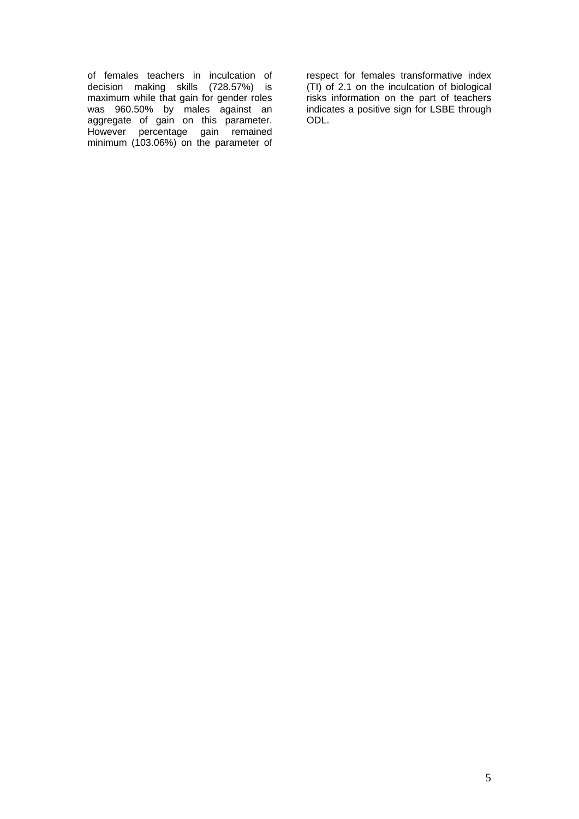of females teachers in inculcation of decision making skills (728.57%) is maximum while that gain for gender roles was 960.50% by males against an aggregate of gain on this parameter. However percentage gain remained minimum (103.06%) on the parameter of respect for females transformative index (TI) of 2.1 on the inculcation of biological risks information on the part of teachers indicates a positive sign for LSBE through ODL.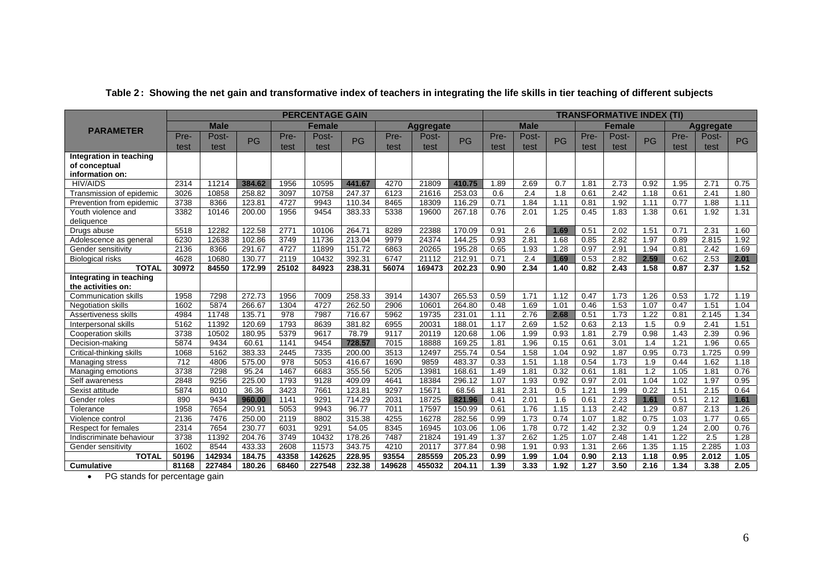|                             | <b>PERCENTAGE GAIN</b> |        |           |               |        |           |        |        |             | <b>TRANSFORMATIVE INDEX (TI)</b> |       |               |      |       |                  |      |       |           |
|-----------------------------|------------------------|--------|-----------|---------------|--------|-----------|--------|--------|-------------|----------------------------------|-------|---------------|------|-------|------------------|------|-------|-----------|
| <b>PARAMETER</b>            | <b>Male</b>            |        |           | <b>Female</b> |        | Aggregate |        |        | <b>Male</b> |                                  |       | <b>Female</b> |      |       | <b>Aggregate</b> |      |       |           |
|                             | Pre-                   | Post-  | <b>PG</b> | Pre-          | Post-  | PG        | Pre-   | Post-  | PG          | Pre-                             | Post- | PG            | Pre- | Post- | PG               | Pre- | Post- | <b>PG</b> |
|                             | test                   | test   |           | test          | test   |           | test   | test   |             | test                             | test  |               | test | test  |                  | test | test  |           |
| Integration in teaching     |                        |        |           |               |        |           |        |        |             |                                  |       |               |      |       |                  |      |       |           |
| of conceptual               |                        |        |           |               |        |           |        |        |             |                                  |       |               |      |       |                  |      |       |           |
| information on:             |                        |        |           |               |        |           |        |        |             |                                  |       |               |      |       |                  |      |       |           |
| <b>HIV/AIDS</b>             | 2314                   | 11214  | 384.62    | 1956          | 10595  | 441.67    | 4270   | 21809  | 410.75      | 1.89                             | 2.69  | 0.7           | 1.81 | 2.73  | 0.92             | 1.95 | 2.71  | 0.75      |
| Transmission of epidemic    | 3026                   | 10858  | 258.82    | 3097          | 10758  | 247.37    | 6123   | 21616  | 253.03      | 0.6                              | 2.4   | 1.8           | 0.61 | 2.42  | 1.18             | 0.61 | 2.41  | 1.80      |
| Prevention from epidemic    | 3738                   | 8366   | 123.81    | 4727          | 9943   | 110.34    | 8465   | 18309  | 116.29      | 0.71                             | 1.84  | 1.11          | 0.81 | 1.92  | 1.11             | 0.77 | 1.88  | 1.11      |
| Youth violence and          | 3382                   | 10146  | 200.00    | 1956          | 9454   | 383.33    | 5338   | 19600  | 267.18      | 0.76                             | 2.01  | 1.25          | 0.45 | 1.83  | 1.38             | 0.61 | 1.92  | 1.31      |
| deliquence                  |                        |        |           |               |        |           |        |        |             |                                  |       |               |      |       |                  |      |       |           |
| Drugs abuse                 | 5518                   | 12282  | 122.58    | 2771          | 10106  | 264.71    | 8289   | 22388  | 170.09      | 0.91                             | 2.6   | 1.69          | 0.51 | 2.02  | 1.51             | 0.71 | 2.31  | 1.60      |
| Adolescence as general      | 6230                   | 12638  | 102.86    | 3749          | 11736  | 213.04    | 9979   | 24374  | 144.25      | 0.93                             | 2.81  | 1.68          | 0.85 | 2.82  | 1.97             | 0.89 | 2.815 | 1.92      |
| Gender sensitivity          | 2136                   | 8366   | 291.67    | 4727          | 11899  | 151.72    | 6863   | 20265  | 195.28      | 0.65                             | 1.93  | 1.28          | 0.97 | 2.91  | 1.94             | 0.81 | 2.42  | 1.69      |
| <b>Biological risks</b>     | 4628                   | 10680  | 130.77    | 2119          | 10432  | 392.31    | 6747   | 21112  | 212.91      | 0.71                             | 2.4   | 1.69          | 0.53 | 2.82  | 2.59             | 0.62 | 2.53  | 2.01      |
| <b>TOTAL</b>                | 30972                  | 84550  | 172.99    | 25102         | 84923  | 238.31    | 56074  | 169473 | 202.23      | 0.90                             | 2.34  | 1.40          | 0.82 | 2.43  | 1.58             | 0.87 | 2.37  | 1.52      |
| Integrating in teaching     |                        |        |           |               |        |           |        |        |             |                                  |       |               |      |       |                  |      |       |           |
| the activities on:          |                        |        |           |               |        |           |        |        |             |                                  |       |               |      |       |                  |      |       |           |
| <b>Communication skills</b> | 1958                   | 7298   | 272.73    | 1956          | 7009   | 258.33    | 3914   | 14307  | 265.53      | 0.59                             | 1.71  | 1.12          | 0.47 | 1.73  | 1.26             | 0.53 | 1.72  | 1.19      |
| <b>Negotiation skills</b>   | 1602                   | 5874   | 266.67    | 1304          | 4727   | 262.50    | 2906   | 10601  | 264.80      | 0.48                             | 1.69  | 1.01          | 0.46 | 1.53  | 1.07             | 0.47 | 1.51  | 1.04      |
| Assertiveness skills        | 4984                   | 11748  | 135.71    | 978           | 7987   | 716.67    | 5962   | 19735  | 231.01      | 1.11                             | 2.76  | 2.68          | 0.51 | 1.73  | 1.22             | 0.81 | 2.145 | 1.34      |
| Interpersonal skills        | 5162                   | 11392  | 120.69    | 1793          | 8639   | 381.82    | 6955   | 20031  | 188.01      | 1.17                             | 2.69  | 1.52          | 0.63 | 2.13  | 1.5              | 0.9  | 2.41  | 1.51      |
| <b>Cooperation skills</b>   | 3738                   | 10502  | 180.95    | 5379          | 9617   | 78.79     | 9117   | 20119  | 120.68      | 1.06                             | 1.99  | 0.93          | 1.81 | 2.79  | 0.98             | 1.43 | 2.39  | 0.96      |
| Decision-making             | 5874                   | 9434   | 60.61     | 1141          | 9454   | 728.57    | 7015   | 18888  | 169.25      | 1.81                             | 1.96  | 0.15          | 0.61 | 3.01  | 1.4              | 1.21 | 1.96  | 0.65      |
| Critical-thinking skills    | 1068                   | 5162   | 383.33    | 2445          | 7335   | 200.00    | 3513   | 12497  | 255.74      | 0.54                             | 1.58  | 1.04          | 0.92 | 1.87  | 0.95             | 0.73 | 1.725 | 0.99      |
| Managing stress             | 712                    | 4806   | 575.00    | 978           | 5053   | 416.67    | 1690   | 9859   | 483.37      | 0.33                             | 1.51  | 1.18          | 0.54 | 1.73  | 1.9              | 0.44 | 1.62  | 1.18      |
| Managing emotions           | 3738                   | 7298   | 95.24     | 1467          | 6683   | 355.56    | 5205   | 13981  | 168.61      | 1.49                             | 1.81  | 0.32          | 0.61 | 1.81  | 1.2              | 1.05 | 1.81  | 0.76      |
| Self awareness              | 2848                   | 9256   | 225.00    | 1793          | 9128   | 409.09    | 4641   | 18384  | 296.12      | 1.07                             | 1.93  | 0.92          | 0.97 | 2.01  | 1.04             | 1.02 | 1.97  | 0.95      |
| Sexist attitude             | 5874                   | 8010   | 36.36     | 3423          | 7661   | 123.81    | 9297   | 15671  | 68.56       | 1.81                             | 2.31  | 0.5           | 1.21 | 1.99  | 0.22             | 1.51 | 2.15  | 0.64      |
| Gender roles                | 890                    | 9434   | 960.00    | 1141          | 9291   | 714.29    | 2031   | 18725  | 821.96      | 0.41                             | 2.01  | 1.6           | 0.61 | 2.23  | 1.61             | 0.51 | 2.12  | 1.61      |
| Tolerance                   | 1958                   | 7654   | 290.91    | 5053          | 9943   | 96.77     | 7011   | 17597  | 150.99      | 0.61                             | 1.76  | 1.15          | 1.13 | 2.42  | 1.29             | 0.87 | 2.13  | 1.26      |
| Violence control            | 2136                   | 7476   | 250.00    | 2119          | 8802   | 315.38    | 4255   | 16278  | 282.56      | 0.99                             | 1.73  | 0.74          | 1.07 | 1.82  | 0.75             | 1.03 | 1.77  | 0.65      |
| Respect for females         | 2314                   | 7654   | 230.77    | 6031          | 9291   | 54.05     | 8345   | 16945  | 103.06      | 1.06                             | 1.78  | 0.72          | 1.42 | 2.32  | 0.9              | 1.24 | 2.00  | 0.76      |
| Indiscriminate behaviour    | 3738                   | 11392  | 204.76    | 3749          | 10432  | 178.26    | 7487   | 21824  | 191.49      | 1.37                             | 2.62  | 1.25          | 1.07 | 2.48  | 1.41             | 1.22 | 2.5   | 1.28      |
| Gender sensitivity          | 1602                   | 8544   | 433.33    | 2608          | 11573  | 343.75    | 4210   | 20117  | 377.84      | 0.98                             | 1.91  | 0.93          | 1.31 | 2.66  | 1.35             | 1.15 | 2.285 | 1.03      |
| <b>TOTAL</b>                | 50196                  | 142934 | 184.75    | 43358         | 142625 | 228.95    | 93554  | 285559 | 205.23      | 0.99                             | 1.99  | 1.04          | 0.90 | 2.13  | 1.18             | 0.95 | 2.012 | 1.05      |
| <b>Cumulative</b>           | 81168                  | 227484 | 180.26    | 68460         | 227548 | 232.38    | 149628 | 455032 | 204.11      | 1.39                             | 3.33  | 1.92          | 1.27 | 3.50  | 2.16             | 1.34 | 3.38  | 2.05      |

# **Table 2 : Showing the net gain and transformative index of teachers in integrating the life skills in tier teaching of different subjects**

• PG stands for percentage gain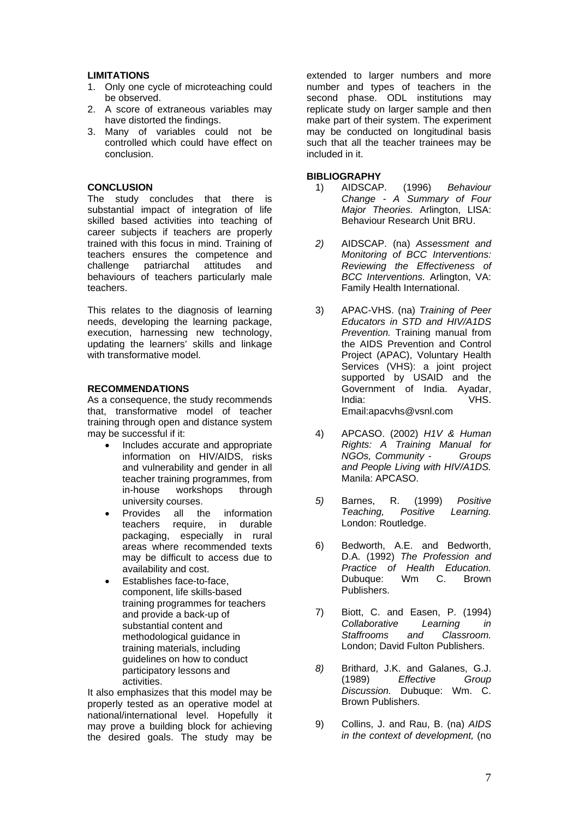## **LIMITATIONS**

- 1. Only one cycle of microteaching could be observed.
- 2. A score of extraneous variables may have distorted the findings.
- 3. Many of variables could not be controlled which could have effect on conclusion.

#### **CONCLUSION**

The study concludes that there is substantial impact of integration of life skilled based activities into teaching of career subjects if teachers are properly trained with this focus in mind. Training of teachers ensures the competence and challenge patriarchal attitudes and behaviours of teachers particularly male teachers.

This relates to the diagnosis of learning needs, developing the learning package, execution, harnessing new technology, updating the learners' skills and linkage with transformative model.

#### **RECOMMENDATIONS**

As a consequence, the study recommends that, transformative model of teacher training through open and distance system may be successful if it:

- Includes accurate and appropriate information on HIV/AIDS, risks and vulnerability and gender in all teacher training programmes, from in-house workshops through university courses.
- Provides all the information teachers require, in durable packaging, especially in rural areas where recommended texts may be difficult to access due to availability and cost.
- Establishes face-to-face, component, life skills-based training programmes for teachers and provide a back-up of substantial content and methodological guidance in training materials, including guidelines on how to conduct participatory lessons and activities.

It also emphasizes that this model may be properly tested as an operative model at national/international level. Hopefully it may prove a building block for achieving the desired goals. The study may be extended to larger numbers and more number and types of teachers in the second phase. ODL institutions may replicate study on larger sample and then make part of their system. The experiment may be conducted on longitudinal basis such that all the teacher trainees may be included in it.

#### **BIBLIOGRAPHY**

- 1) AIDSCAP. (1996) *Behaviour Change - A Summary of Four Major Theories.* Arlington, LISA: Behaviour Research Unit BRU.
- *2)* AIDSCAP. (na) *Assessment and Monitoring of BCC Interventions: Reviewing the Effectiveness of BCC Interventions.* Arlington, VA: Family Health International.
- 3) APAC-VHS. (na) *Training of Peer Educators in STD and HIV/A1DS Prevention.* Training manual from the AIDS Prevention and Control Project (APAC), Voluntary Health Services (VHS): a joint project supported by USAID and the Government of India. Ayadar,<br>India: VHS India: Email:apacvhs@vsnl.com
- 4) APCASO. (2002) *H1V & Human Rights: A Training Manual for NGOs, Community* - *Groups and People Living with HIV/A1DS.* Manila: APCASO.
- *5)* Barnes, R. (1999) *Positive Teaching, Positive Learning.* London: Routledge.
- 6) Bedworth, A.E. and Bedworth, D.A. (1992) *The Profession and Practice of Health Education.* Dubuque: Wm C. Brown Publishers.
- 7) Biott, C. and Easen, P. (1994)<br>Collaborative Learning in *Collaborative Learning in Staffrooms and Classroom.*  London; David Fulton Publishers.
- *8)* Brithard, J.K. and Galanes, G.J. (1989) *Effective Group Discussion.* Dubuque: Wm. C. Brown Publishers.
- 9) Collins, J. and Rau, B. (na) *AIDS in the context of development,* (no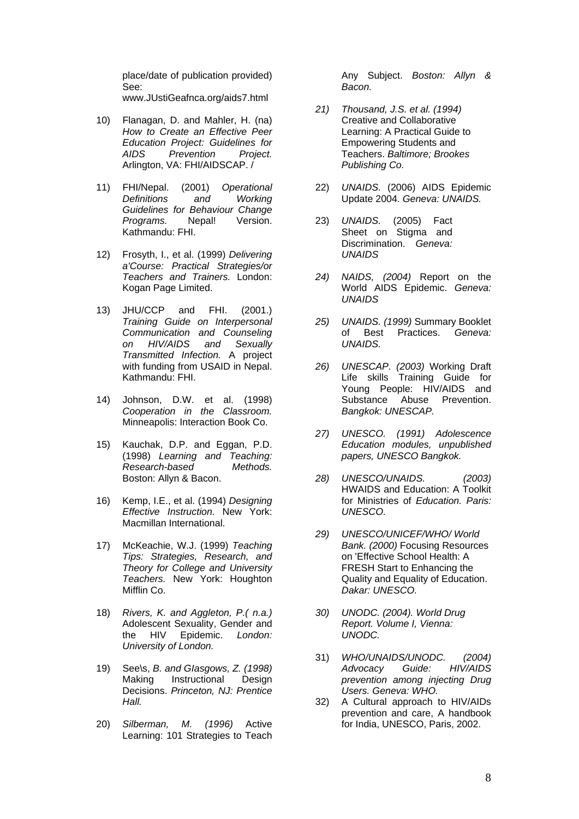place/date of publication provided) See: www.JUstiGeafnca.org/aids7.html

- 10) Flanagan, D. and Mahler, H. (na) *How to Create an Effective Peer Education Project: Guidelines for AIDS Prevention Project.* Arlington, VA: FHI/AIDSCAP. /
- 11) FHI/Nepal. (2001) *Operational Definitions and Working Guidelines for Behaviour Change Programs.* Nepal! Version. Kathmandu: FHI.
- 12) Frosyth, I., et al. (1999) *Delivering a'Course: Practical Strategies/or Teachers and Trainers.* London: Kogan Page Limited.
- 13) JHU/CCP and FHI. (2001.) *Training Guide on Interpersonal Communication and Counseling on HIV/AIDS and Sexually Transmitted Infection.* A project with funding from USAID in Nepal. Kathmandu: FHI.
- 14) Johnson, D.W. et al. (1998) *Cooperation in the Classroom.* Minneapolis: Interaction Book Co.
- 15) Kauchak, D.P. and Eggan, P.D. (1998) *Learning and Teaching: Research-based Methods.*  Boston: Allyn & Bacon.
- 16) Kemp, I.E., et al. (1994) *Designing Effective Instruction.* New York: Macmillan International.
- 17) McKeachie, W.J. (1999) *Teaching Tips: Strategies, Research, and Theory for College and University Teachers.* New York: Houghton Mifflin Co.
- 18) *Rivers, K. and Aggleton, P.( n.a.)*  Adolescent Sexuality, Gender and the HIV Epidemic. *London: University of London.*
- 19) See\s, *B. and GIasgows, Z. (1998)*  Making Instructional Design Decisions. *Princeton, NJ: Prentice Hall.*
- 20) *Silberman, M. (1996)* Active Learning: 101 Strategies to Teach

Any Subject. *Boston: Allyn & Bacon.*

- *21) Thousand, J.S. et al. (1994)*  Creative and Collaborative Learning: A Practical Guide to Empowering Students and Teachers. *Baltimore; Brookes Publishing Co.*
- 22) *UNAIDS.* (2006) AIDS Epidemic Update 2004. *Geneva: UNAIDS.*
- 23) *UNAIDS.* (2005) Fact Sheet on Stigma and Discrimination. *Geneva: UNAIDS*
- *24) NAIDS, (2004)* Report on the World AIDS Epidemic. *Geneva: UNAIDS*
- *25) UNAIDS. (1999)* Summary Booklet of Best Practices. *Geneva: UNAIDS.*
- *26) UNESCAP. (2003)* Working Draft Life skills Training Guide for Young People: HIV/AIDS and Substance Abuse Prevention. *Bangkok: UNESCAP.*
- *27) UNESCO. (1991) Adolescence Education modules, unpublished papers, UNESCO Bangkok.*
- *28) UNESCO/UNAIDS. (2003)*  HWAIDS and Education: A Toolkit for Ministries of *Education. Paris: UNESCO.*
- *29) UNESCO/UNICEF/WHO/ World Bank. (2000)* Focusing Resources on 'Effective School Health: A FRESH Start to Enhancing the Quality and Equality of Education. *Dakar: UNESCO.*
- *30) UNODC. (2004). World Drug Report. Volume I, Vienna: UNODC.*
- 31) *WHO/UNAIDS/UNODC. (2004) Advocacy Guide: HIV/AIDS prevention among injecting Drug Users. Geneva: WHO.*
- 32) A Cultural approach to HIV/AIDs prevention and care, A handbook for India, UNESCO, Paris, 2002.